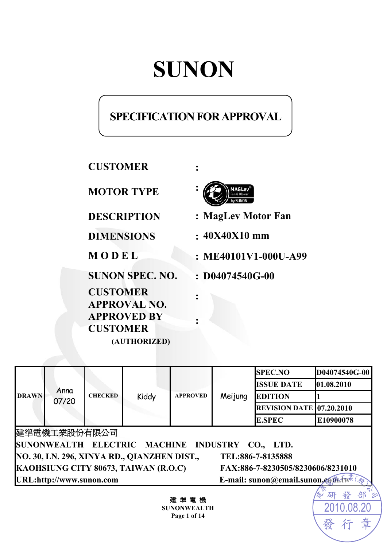# **SUNON**

# **SPECIFICATION FOR APPROVAL**

**CUSTOMER :** 

**MOTOR TYPE :**

**CUSTOMER APPROVAL NO. APPROVED BY CUSTOMER (AUTHORIZED)** 



**DESCRIPTION : MagLev Motor Fan** 

**DIMENSIONS : 40X40X10 mm** 

**M O D E L : ME40101V1-000U-A99** 

2010.0

發

**SUNON SPEC. NO. : D04074540G-00** 

|                                                                  |               |                |       |                                   |         | <b>SPEC.NO</b>                  | D04074540G-00 |
|------------------------------------------------------------------|---------------|----------------|-------|-----------------------------------|---------|---------------------------------|---------------|
|                                                                  |               |                |       |                                   |         | <b>ISSUE DATE</b>               | 01.08.2010    |
| <b>DRAWN</b>                                                     | Anna<br>07/20 | <b>CHECKED</b> | Kiddy | <b>APPROVED</b>                   | Meijung | <b>EDITION</b>                  |               |
|                                                                  |               |                |       |                                   |         | <b>REVISION DATE 07.20.2010</b> |               |
|                                                                  |               |                |       |                                   |         | <b>E.SPEC</b>                   | E10900078     |
|                                                                  | 建準電機工業股份有限公司  |                |       |                                   |         |                                 |               |
| SUNONWEALTH ELECTRIC MACHINE INDUSTRY CO., LTD.                  |               |                |       |                                   |         |                                 |               |
| NO. 30, LN. 296, XINYA RD., QIANZHEN DIST.,<br>TEL:886-7-8135888 |               |                |       |                                   |         |                                 |               |
| KAOHSIUNG CITY 80673, TAIWAN (R.O.C)                             |               |                |       | FAX:886-7-8230505/8230606/8231010 |         |                                 |               |
| URL:http://www.sunon.com                                         |               |                |       | E-mail: sunon@email.sunon.com.tw  |         |                                 |               |
|                                                                  |               |                |       |                                   |         |                                 | 研             |

**:** 

**:** 

建 準 電 機 **SUNONWEALTH Page 1 of 14**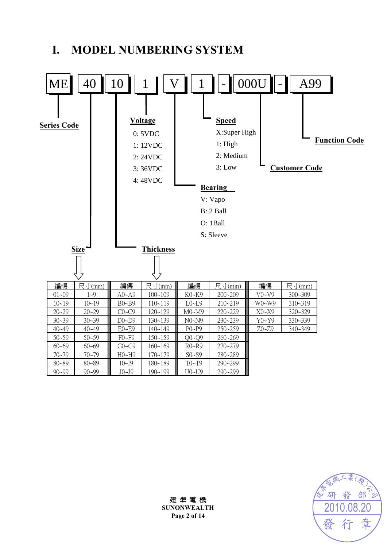# **I. MODEL NUMBERING SYSTEM**



發 部 研 20 章 發 仃

建 準 電 機 **SUNONWEALTH Page 2 of 14**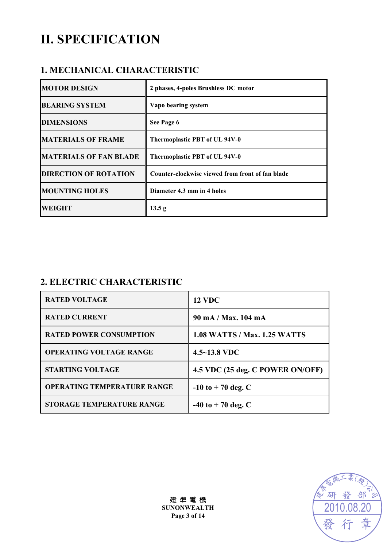# **II. SPECIFICATION**

### **1. MECHANICAL CHARACTERISTIC**

| <b>MOTOR DESIGN</b>           | 2 phases, 4-poles Brushless DC motor             |
|-------------------------------|--------------------------------------------------|
| <b>BEARING SYSTEM</b>         | Vapo bearing system                              |
| <b>DIMENSIONS</b>             | See Page 6                                       |
| <b>MATERIALS OF FRAME</b>     | Thermoplastic PBT of UL 94V-0                    |
| <b>MATERIALS OF FAN BLADE</b> | Thermoplastic PBT of UL 94V-0                    |
| <b>DIRECTION OF ROTATION</b>  | Counter-clockwise viewed from front of fan blade |
| <b>MOUNTING HOLES</b>         | Diameter 4.3 mm in 4 holes                       |
| <b>WEIGHT</b>                 | 13.5 g                                           |

# **2. ELECTRIC CHARACTERISTIC**

| <b>RATED VOLTAGE</b>               | <b>12 VDC</b>                       |
|------------------------------------|-------------------------------------|
| <b>RATED CURRENT</b>               | 90 mA / Max. 104 mA                 |
| <b>RATED POWER CONSUMPTION</b>     | <b>1.08 WATTS / Max. 1.25 WATTS</b> |
| <b>OPERATING VOLTAGE RANGE</b>     | $4.5 - 13.8$ VDC                    |
| <b>STARTING VOLTAGE</b>            | 4.5 VDC (25 deg. C POWER ON/OFF)    |
| <b>OPERATING TEMPERATURE RANGE</b> | $-10$ to $+70$ deg. C               |
| <b>STORAGE TEMPERATURE RANGE</b>   | $-40$ to $+70$ deg. C               |



建 準 電 機 **SUNONWEALTH Page 3 of 14**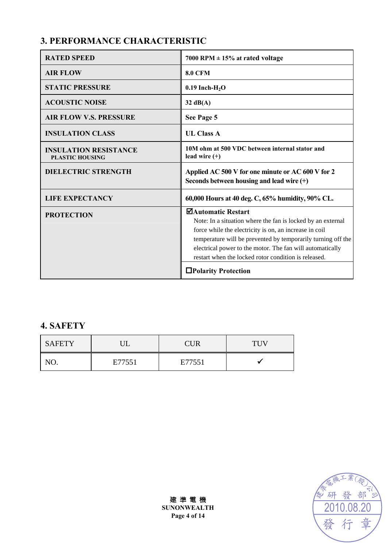# **3. PERFORMANCE CHARACTERISTIC**

| <b>RATED SPEED</b>                                     | 7000 RPM $\pm$ 15% at rated voltage                                                                                                                                                                                                                                                                                              |
|--------------------------------------------------------|----------------------------------------------------------------------------------------------------------------------------------------------------------------------------------------------------------------------------------------------------------------------------------------------------------------------------------|
| <b>AIR FLOW</b>                                        | <b>8.0 CFM</b>                                                                                                                                                                                                                                                                                                                   |
| <b>STATIC PRESSURE</b>                                 | $0.19$ Inch-H <sub>2</sub> O                                                                                                                                                                                                                                                                                                     |
| <b>ACOUSTIC NOISE</b>                                  | $32 \text{ dB}(A)$                                                                                                                                                                                                                                                                                                               |
| <b>AIR FLOW V.S. PRESSURE</b>                          | See Page 5                                                                                                                                                                                                                                                                                                                       |
| <b>INSULATION CLASS</b>                                | <b>UL Class A</b>                                                                                                                                                                                                                                                                                                                |
| <b>INSULATION RESISTANCE</b><br><b>PLASTIC HOUSING</b> | 10M ohm at 500 VDC between internal stator and<br>lead wire $(+)$                                                                                                                                                                                                                                                                |
| <b>DIELECTRIC STRENGTH</b>                             | Applied AC 500 V for one minute or AC 600 V for 2<br>Seconds between housing and lead wire $(+)$                                                                                                                                                                                                                                 |
| <b>LIFE EXPECTANCY</b>                                 | 60,000 Hours at 40 deg. C, 65% humidity, 90% CL.                                                                                                                                                                                                                                                                                 |
| <b>PROTECTION</b>                                      | ⊠Automatic Restart<br>Note: In a situation where the fan is locked by an external<br>force while the electricity is on, an increase in coil<br>temperature will be prevented by temporarily turning off the<br>electrical power to the motor. The fan will automatically<br>restart when the locked rotor condition is released. |
|                                                        | □Polarity Protection                                                                                                                                                                                                                                                                                                             |

# **4. SAFETY**

| <b>SAFETY</b> |        | <b>CUR</b> | <b>TUV</b> |
|---------------|--------|------------|------------|
| Nſ            | E77551 | E77551     |            |

研 發 部 2010.08.20章 發

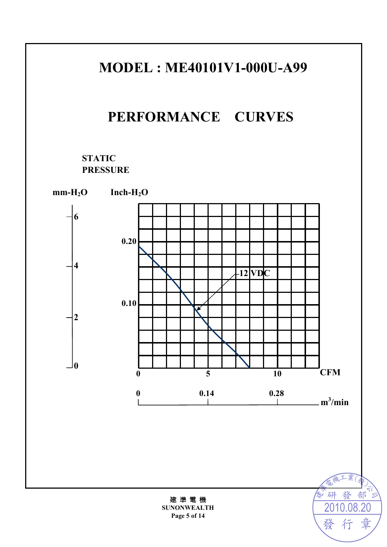# **MODEL : ME40101V1-000U-A99**

# **PERFORMANCE CURVES**

### **STATIC PRESSURE**



建 準 電 機 **SUNONWEALTH Page 5 of 14** 

2010.08.20

行

章

發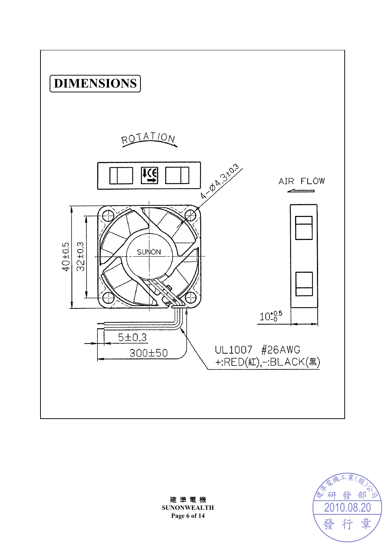



建 準 電 機 **SUNONWEALTH Page 6 of 14**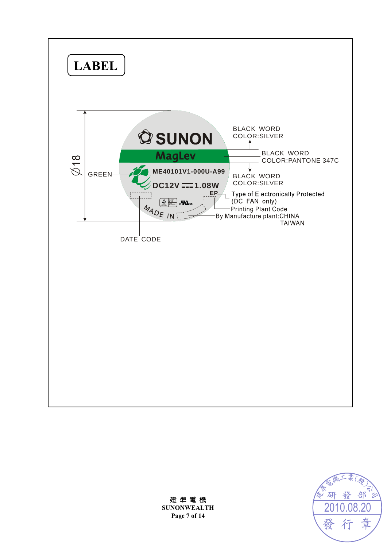





**SUNONWEALTH Page 7 of 14**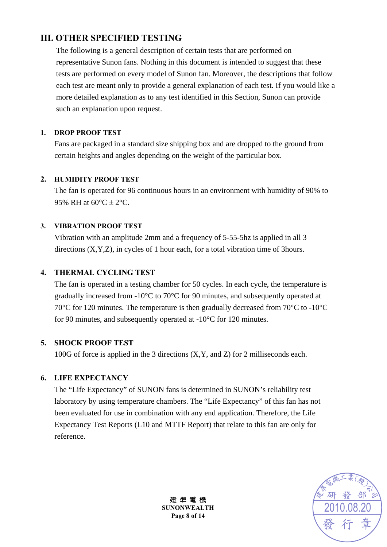### **III. OTHER SPECIFIED TESTING**

The following is a general description of certain tests that are performed on representative Sunon fans. Nothing in this document is intended to suggest that these tests are performed on every model of Sunon fan. Moreover, the descriptions that follow each test are meant only to provide a general explanation of each test. If you would like a more detailed explanation as to any test identified in this Section, Sunon can provide such an explanation upon request.

#### **1. DROP PROOF TEST**

Fans are packaged in a standard size shipping box and are dropped to the ground from certain heights and angles depending on the weight of the particular box.

#### **2. HUMIDITY PROOF TEST**

The fan is operated for 96 continuous hours in an environment with humidity of 90% to 95% RH at  $60^{\circ}$ C  $\pm$  2°C.

#### **3. VIBRATION PROOF TEST**

Vibration with an amplitude 2mm and a frequency of 5-55-5hz is applied in all 3 directions (X,Y,Z), in cycles of 1 hour each, for a total vibration time of 3hours.

#### **4. THERMAL CYCLING TEST**

The fan is operated in a testing chamber for 50 cycles. In each cycle, the temperature is gradually increased from -10°C to 70°C for 90 minutes, and subsequently operated at 70°C for 120 minutes. The temperature is then gradually decreased from 70°C to -10°C for 90 minutes, and subsequently operated at -10°C for 120 minutes.

#### **5. SHOCK PROOF TEST**

100G of force is applied in the 3 directions (X,Y, and Z) for 2 milliseconds each.

#### **6. LIFE EXPECTANCY**

The "Life Expectancy" of SUNON fans is determined in SUNON's reliability test laboratory by using temperature chambers. The "Life Expectancy" of this fan has not been evaluated for use in combination with any end application. Therefore, the Life Expectancy Test Reports (L10 and MTTF Report) that relate to this fan are only for reference.



建 準 電 機 **SUNONWEALTH Page 8 of 14**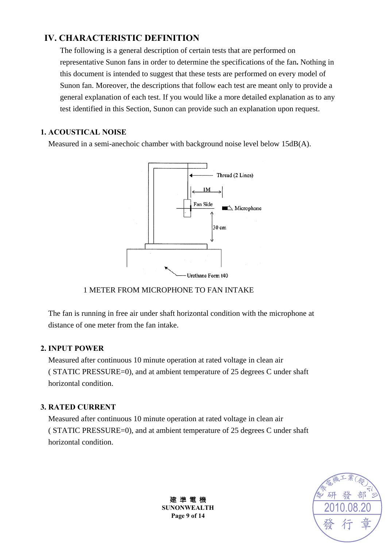### **IV. CHARACTERISTIC DEFINITION**

The following is a general description of certain tests that are performed on representative Sunon fans in order to determine the specifications of the fan**.** Nothing in this document is intended to suggest that these tests are performed on every model of Sunon fan. Moreover, the descriptions that follow each test are meant only to provide a general explanation of each test. If you would like a more detailed explanation as to any test identified in this Section, Sunon can provide such an explanation upon request.

#### **1. ACOUSTICAL NOISE**

Measured in a semi-anechoic chamber with background noise level below 15dB(A).



#### 1 METER FROM MICROPHONE TO FAN INTAKE

The fan is running in free air under shaft horizontal condition with the microphone at distance of one meter from the fan intake.

#### **2. INPUT POWER**

Measured after continuous 10 minute operation at rated voltage in clean air ( STATIC PRESSURE=0), and at ambient temperature of 25 degrees C under shaft horizontal condition.

#### **3. RATED CURRENT**

Measured after continuous 10 minute operation at rated voltage in clean air ( STATIC PRESSURE=0), and at ambient temperature of 25 degrees C under shaft horizontal condition.



建 準 電 機 **SUNONWEALTH Page 9 of 14**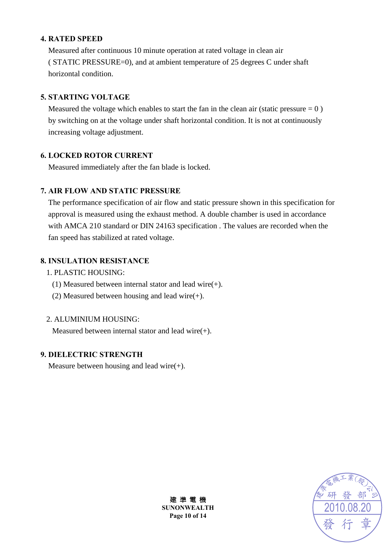#### **4. RATED SPEED**

Measured after continuous 10 minute operation at rated voltage in clean air ( STATIC PRESSURE=0), and at ambient temperature of 25 degrees C under shaft horizontal condition.

#### **5. STARTING VOLTAGE**

Measured the voltage which enables to start the fan in the clean air (static pressure  $= 0$ ) by switching on at the voltage under shaft horizontal condition. It is not at continuously increasing voltage adjustment.

#### **6. LOCKED ROTOR CURRENT**

Measured immediately after the fan blade is locked.

#### **7. AIR FLOW AND STATIC PRESSURE**

The performance specification of air flow and static pressure shown in this specification for approval is measured using the exhaust method. A double chamber is used in accordance with AMCA 210 standard or DIN 24163 specification . The values are recorded when the fan speed has stabilized at rated voltage.

#### **8. INSULATION RESISTANCE**

- 1. PLASTIC HOUSING:
	- (1) Measured between internal stator and lead wire(+).
	- (2) Measured between housing and lead wire $(+)$ .

#### 2. ALUMINIUM HOUSING:

Measured between internal stator and lead wire(+).

#### **9. DIELECTRIC STRENGTH**

Measure between housing and lead wire $(+)$ .



建 準 電 機 **SUNONWEALTH Page 10 of 14**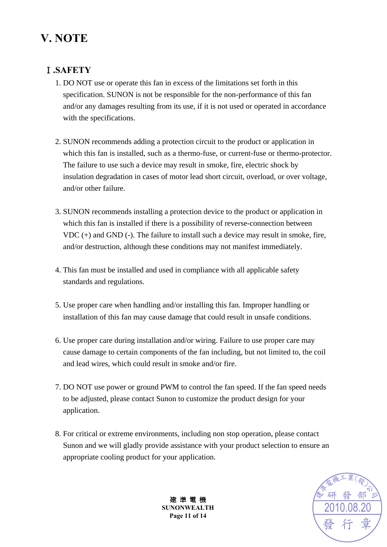# **V. NOTE**

### Ⅰ**.SAFETY**

- 1. DO NOT use or operate this fan in excess of the limitations set forth in this specification. SUNON is not be responsible for the non-performance of this fan and/or any damages resulting from its use, if it is not used or operated in accordance with the specifications.
- 2. SUNON recommends adding a protection circuit to the product or application in which this fan is installed, such as a thermo-fuse, or current-fuse or thermo-protector. The failure to use such a device may result in smoke, fire, electric shock by insulation degradation in cases of motor lead short circuit, overload, or over voltage, and/or other failure.
- 3. SUNON recommends installing a protection device to the product or application in which this fan is installed if there is a possibility of reverse-connection between VDC (+) and GND (-). The failure to install such a device may result in smoke, fire, and/or destruction, although these conditions may not manifest immediately.
- 4. This fan must be installed and used in compliance with all applicable safety standards and regulations.
- 5. Use proper care when handling and/or installing this fan. Improper handling or installation of this fan may cause damage that could result in unsafe conditions.
- 6. Use proper care during installation and/or wiring. Failure to use proper care may cause damage to certain components of the fan including, but not limited to, the coil and lead wires, which could result in smoke and/or fire.
- 7. DO NOT use power or ground PWM to control the fan speed. If the fan speed needs to be adjusted, please contact Sunon to customize the product design for your application.
- 8. For critical or extreme environments, including non stop operation, please contact Sunon and we will gladly provide assistance with your product selection to ensure an appropriate cooling product for your application.



建 準 電 機 **SUNONWEALTH Page 11 of 14**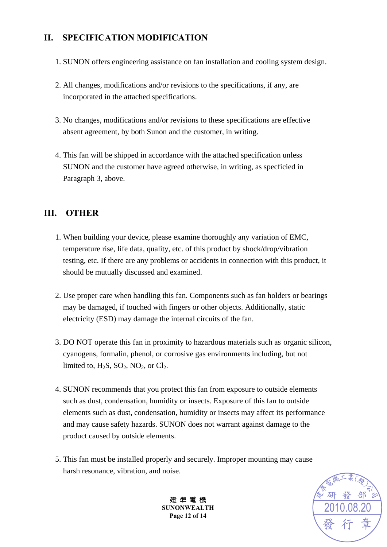# **II. SPECIFICATION MODIFICATION**

- 1. SUNON offers engineering assistance on fan installation and cooling system design.
- 2. All changes, modifications and/or revisions to the specifications, if any, are incorporated in the attached specifications.
- 3. No changes, modifications and/or revisions to these specifications are effective absent agreement, by both Sunon and the customer, in writing.
- 4. This fan will be shipped in accordance with the attached specification unless SUNON and the customer have agreed otherwise, in writing, as specficied in Paragraph 3, above.

### **III. OTHER**

- 1. When building your device, please examine thoroughly any variation of EMC, temperature rise, life data, quality, etc. of this product by shock/drop/vibration testing, etc. If there are any problems or accidents in connection with this product, it should be mutually discussed and examined.
- 2. Use proper care when handling this fan. Components such as fan holders or bearings may be damaged, if touched with fingers or other objects. Additionally, static electricity (ESD) may damage the internal circuits of the fan.
- 3. DO NOT operate this fan in proximity to hazardous materials such as organic silicon, cyanogens, formalin, phenol, or corrosive gas environments including, but not limited to,  $H_2S$ ,  $SO_2$ ,  $NO_2$ , or  $Cl_2$ .
- 4. SUNON recommends that you protect this fan from exposure to outside elements such as dust, condensation, humidity or insects. Exposure of this fan to outside elements such as dust, condensation, humidity or insects may affect its performance and may cause safety hazards. SUNON does not warrant against damage to the product caused by outside elements.
- 5. This fan must be installed properly and securely. Improper mounting may cause harsh resonance, vibration, and noise.



建 準 電 機 **SUNONWEALTH Page 12 of 14**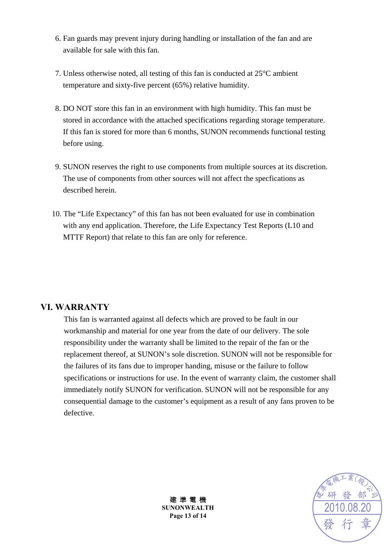- 6. Fan guards may prevent injury during handling or installation of the fan and are available for sale with this fan.
- 7. Unless otherwise noted, all testing of this fan is conducted at 25°C ambient temperature and sixty-five percent (65%) relative humidity.
- 8. DO NOT store this fan in an environment with high humidity. This fan must be stored in accordance with the attached specifications regarding storage temperature. If this fan is stored for more than 6 months, SUNON recommends functional testing before using.
- 9. SUNON reserves the right to use components from multiple sources at its discretion. The use of components from other sources will not affect the specfications as described herein.
- 10. The "Life Expectancy" of this fan has not been evaluated for use in combination with any end application. Therefore, the Life Expectancy Test Reports (L10 and MTTF Report) that relate to this fan are only for reference.

#### **VI. WARRANTY**

This fan is warranted against all defects which are proved to be fault in our workmanship and material for one year from the date of our delivery. The sole responsibility under the warranty shall be limited to the repair of the fan or the replacement thereof, at SUNON's sole discretion. SUNON will not be responsible for the failures of its fans due to improper handing, misuse or the failure to follow specifications or instructions for use. In the event of warranty claim, the customer shall immediately notify SUNON for verification. SUNON will not be responsible for any consequential damage to the customer's equipment as a result of any fans proven to be defective.



建 準 電 機 **SUNONWEALTH Page 13 of 14**